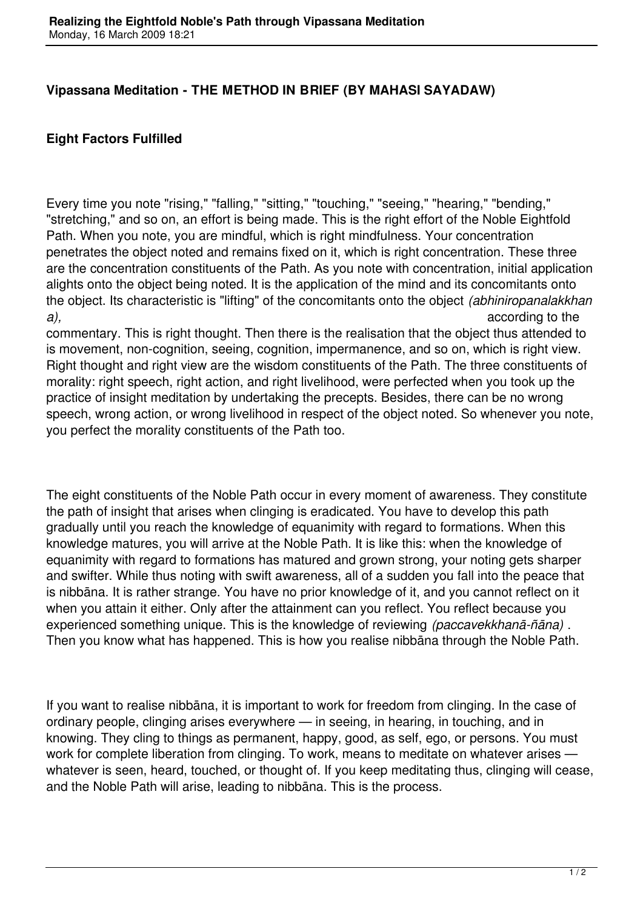## **Vipassana Meditation - THE METHOD IN BRIEF (BY MAHASI SAYADAW)**

## **Eight Factors Fulfilled**

Every time you note "rising," "falling," "sitting," "touching," "seeing," "hearing," "bending," "stretching," and so on, an effort is being made. This is the right effort of the Noble Eightfold Path. When you note, you are mindful, which is right mindfulness. Your concentration penetrates the object noted and remains fixed on it, which is right concentration. These three are the concentration constituents of the Path. As you note with concentration, initial application alights onto the object being noted. It is the application of the mind and its concomitants onto the object. Its characteristic is "lifting" of the concomitants onto the object *(abhiniropanalakkhan a),* according to the

commentary. This is right thought. Then there is the realisation that the object thus attended to is movement, non-cognition, seeing, cognition, impermanence, and so on, which is right view. Right thought and right view are the wisdom constituents of the Path. The three constituents of morality: right speech, right action, and right livelihood, were perfected when you took up the practice of insight meditation by undertaking the precepts. Besides, there can be no wrong speech, wrong action, or wrong livelihood in respect of the object noted. So whenever you note, you perfect the morality constituents of the Path too.

The eight constituents of the Noble Path occur in every moment of awareness. They constitute the path of insight that arises when clinging is eradicated. You have to develop this path gradually until you reach the knowledge of equanimity with regard to formations. When this knowledge matures, you will arrive at the Noble Path. It is like this: when the knowledge of equanimity with regard to formations has matured and grown strong, your noting gets sharper and swifter. While thus noting with swift awareness, all of a sudden you fall into the peace that is nibbāna. It is rather strange. You have no prior knowledge of it, and you cannot reflect on it when you attain it either. Only after the attainment can you reflect. You reflect because you experienced something unique. This is the knowledge of reviewing *(paccavekkhanā-ñāna)* . Then you know what has happened. This is how you realise nibbāna through the Noble Path.

If you want to realise nibbāna, it is important to work for freedom from clinging. In the case of ordinary people, clinging arises everywhere — in seeing, in hearing, in touching, and in knowing. They cling to things as permanent, happy, good, as self, ego, or persons. You must work for complete liberation from clinging. To work, means to meditate on whatever arises whatever is seen, heard, touched, or thought of. If you keep meditating thus, clinging will cease, and the Noble Path will arise, leading to nibbāna. This is the process.